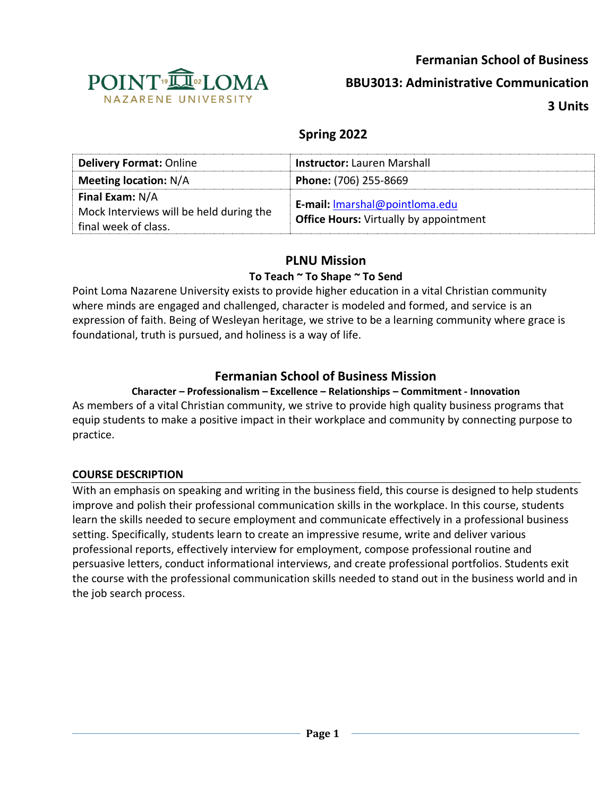



**BBU3013: Administrative Communication**

**3 Units**

# **Spring 2022**

| <b>Delivery Format: Online</b>                                                            | <b>Instructor:</b> Lauren Marshall                                              |
|-------------------------------------------------------------------------------------------|---------------------------------------------------------------------------------|
| <b>Meeting location: N/A</b>                                                              | Phone: (706) 255-8669                                                           |
| <b>Final Exam: N/A</b><br>Mock Interviews will be held during the<br>final week of class. | E-mail: Imarshal@pointloma.edu<br><b>Office Hours:</b> Virtually by appointment |

# **PLNU Mission**

# **To Teach ~ To Shape ~ To Send**

Point Loma Nazarene University exists to provide higher education in a vital Christian community where minds are engaged and challenged, character is modeled and formed, and service is an expression of faith. Being of Wesleyan heritage, we strive to be a learning community where grace is foundational, truth is pursued, and holiness is a way of life.

# **Fermanian School of Business Mission**

# **Character – Professionalism – Excellence – Relationships – Commitment - Innovation**

As members of a vital Christian community, we strive to provide high quality business programs that equip students to make a positive impact in their workplace and community by connecting purpose to practice.

# **COURSE DESCRIPTION**

With an emphasis on speaking and writing in the business field, this course is designed to help students improve and polish their professional communication skills in the workplace. In this course, students learn the skills needed to secure employment and communicate effectively in a professional business setting. Specifically, students learn to create an impressive resume, write and deliver various professional reports, effectively interview for employment, compose professional routine and persuasive letters, conduct informational interviews, and create professional portfolios. Students exit the course with the professional communication skills needed to stand out in the business world and in the job search process.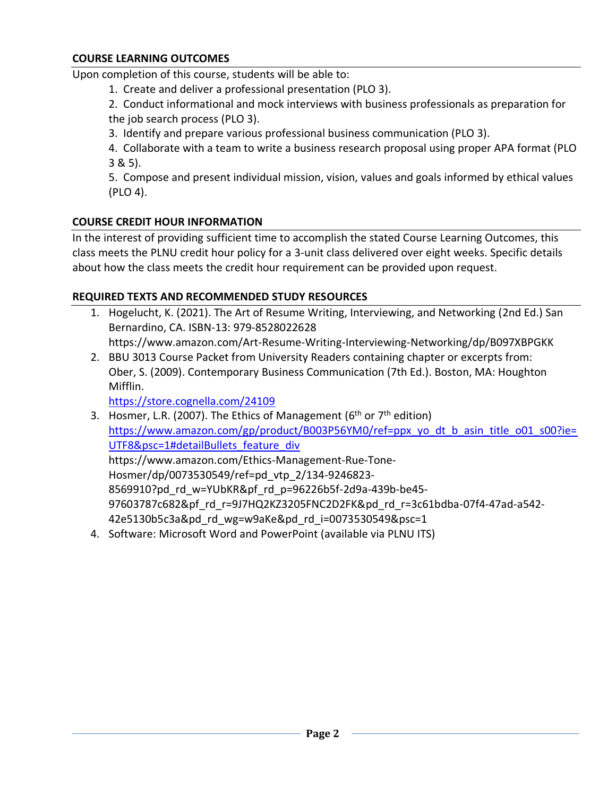Upon completion of this course, students will be able to:

1. Create and deliver a professional presentation (PLO 3).

2. Conduct informational and mock interviews with business professionals as preparation for the job search process (PLO 3).

3. Identify and prepare various professional business communication (PLO 3).

4. Collaborate with a team to write a business research proposal using proper APA format (PLO 3 & 5).

5. Compose and present individual mission, vision, values and goals informed by ethical values (PLO 4).

## **COURSE CREDIT HOUR INFORMATION**

In the interest of providing sufficient time to accomplish the stated Course Learning Outcomes, this class meets the PLNU credit hour policy for a 3-unit class delivered over eight weeks. Specific details about how the class meets the credit hour requirement can be provided upon request.

#### **REQUIRED TEXTS AND RECOMMENDED STUDY RESOURCES**

- 1. Hogelucht, K. (2021). The Art of Resume Writing, Interviewing, and Networking (2nd Ed.) San Bernardino, CA. ISBN-13: 979-8528022628 https://www.amazon.com/Art-Resume-Writing-Interviewing-Networking/dp/B097XBPGKK
- 2. BBU 3013 Course Packet from University Readers containing chapter or excerpts from: Ober, S. (2009). Contemporary Business Communication (7th Ed.). Boston, MA: Houghton Mifflin.

<https://store.cognella.com/24109>

- 3. Hosmer, L.R. (2007). The Ethics of Management ( $6<sup>th</sup>$  or  $7<sup>th</sup>$  edition) [https://www.amazon.com/gp/product/B003P56YM0/ref=ppx\\_yo\\_dt\\_b\\_asin\\_title\\_o01\\_s00?ie=](https://www.amazon.com/gp/product/B003P56YM0/ref=ppx_yo_dt_b_asin_title_o01_s00?ie=UTF8&psc=1#detailBullets_feature_div) UTF8&psc=1#detailBullets feature div https://www.amazon.com/Ethics-Management-Rue-Tone-Hosmer/dp/0073530549/ref=pd\_vtp\_2/134-9246823- 8569910?pd\_rd\_w=YUbKR&pf\_rd\_p=96226b5f-2d9a-439b-be45- 97603787c682&pf\_rd\_r=9J7HQ2KZ3205FNC2D2FK&pd\_rd\_r=3c61bdba-07f4-47ad-a542- 42e5130b5c3a&pd\_rd\_wg=w9aKe&pd\_rd\_i=0073530549&psc=1
- 4. Software: Microsoft Word and PowerPoint (available via PLNU ITS)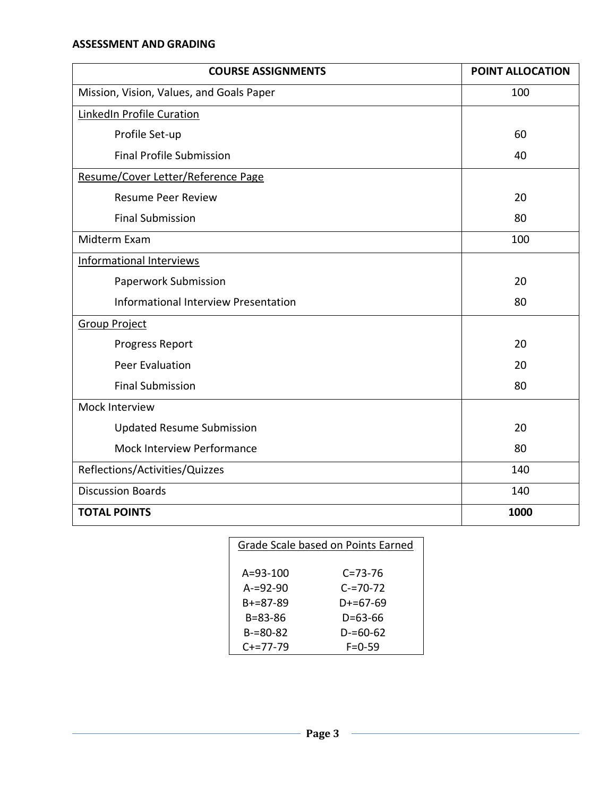#### **ASSESSMENT AND GRADING**

| <b>COURSE ASSIGNMENTS</b>                | POINT ALLOCATION |  |  |
|------------------------------------------|------------------|--|--|
| Mission, Vision, Values, and Goals Paper | 100              |  |  |
| LinkedIn Profile Curation                |                  |  |  |
| Profile Set-up                           | 60               |  |  |
| <b>Final Profile Submission</b>          | 40               |  |  |
| Resume/Cover Letter/Reference Page       |                  |  |  |
| <b>Resume Peer Review</b>                | 20               |  |  |
| <b>Final Submission</b>                  | 80               |  |  |
| Midterm Exam                             | 100              |  |  |
| Informational Interviews                 |                  |  |  |
| Paperwork Submission                     | 20               |  |  |
| Informational Interview Presentation     | 80               |  |  |
| <b>Group Project</b>                     |                  |  |  |
| Progress Report                          | 20               |  |  |
| <b>Peer Evaluation</b>                   | 20               |  |  |
| <b>Final Submission</b>                  | 80               |  |  |
| Mock Interview                           |                  |  |  |
| <b>Updated Resume Submission</b>         | 20               |  |  |
| Mock Interview Performance               | 80               |  |  |
| Reflections/Activities/Quizzes           | 140              |  |  |
| <b>Discussion Boards</b>                 | 140              |  |  |
| <b>TOTAL POINTS</b>                      | 1000             |  |  |

| Grade Scale based on Points Earned |               |  |
|------------------------------------|---------------|--|
|                                    |               |  |
| $A = 93 - 100$                     | $C = 73 - 76$ |  |
| $A = 92 - 90$                      | $C = 70 - 72$ |  |
| B+=87-89                           | $D+=67-69$    |  |
| B=83-86                            | D=63-66       |  |
| $B=80-82$                          | D-=60-62      |  |
| $C+=77-79$                         | $F = 0.59$    |  |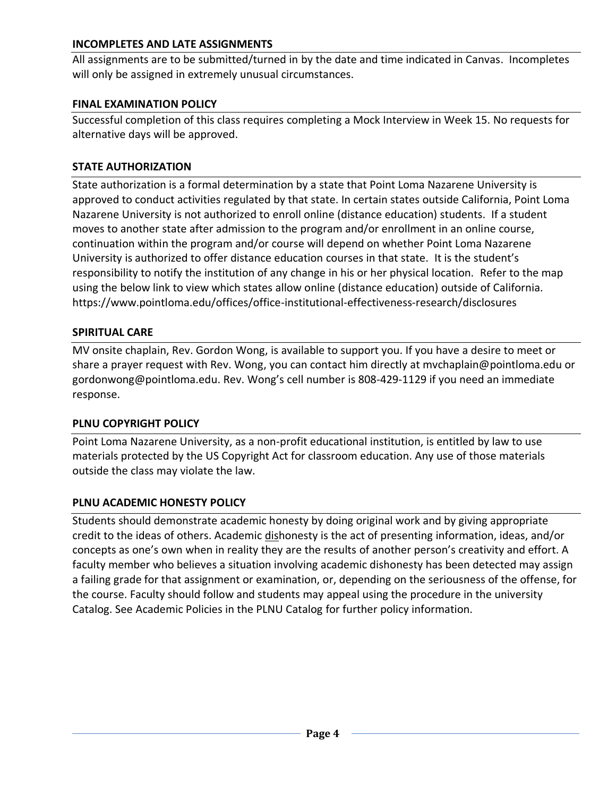## **INCOMPLETES AND LATE ASSIGNMENTS**

All assignments are to be submitted/turned in by the date and time indicated in Canvas. Incompletes will only be assigned in extremely unusual circumstances.

### **FINAL EXAMINATION POLICY**

Successful completion of this class requires completing a Mock Interview in Week 15. No requests for alternative days will be approved.

## **STATE AUTHORIZATION**

State authorization is a formal determination by a state that Point Loma Nazarene University is approved to conduct activities regulated by that state. In certain states outside California, Point Loma Nazarene University is not authorized to enroll online (distance education) students. If a student moves to another state after admission to the program and/or enrollment in an online course, continuation within the program and/or course will depend on whether Point Loma Nazarene University is authorized to offer distance education courses in that state. It is the student's responsibility to notify the institution of any change in his or her physical location. Refer to the map using the below link to view which states allow online (distance education) outside of California. <https://www.pointloma.edu/offices/office-institutional-effectiveness-research/disclosures>

## **SPIRITUAL CARE**

MV onsite chaplain, Rev. Gordon Wong, is available to support you. If you have a desire to meet or share a prayer request with Rev. Wong, you can contact him directly at mvchaplain@pointloma.edu or gordonwong@pointloma.edu. Rev. Wong's cell number is 808-429-1129 if you need an immediate response.

#### **PLNU COPYRIGHT POLICY**

Point Loma Nazarene University, as a non-profit educational institution, is entitled by law to use materials protected by the US Copyright Act for classroom education. Any use of those materials outside the class may violate the law.

# **PLNU ACADEMIC HONESTY POLICY**

Students should demonstrate academic honesty by doing original work and by giving appropriate credit to the ideas of others. Academic dishonesty is the act of presenting information, ideas, and/or concepts as one's own when in reality they are the results of another person's creativity and effort. A faculty member who believes a situation involving academic dishonesty has been detected may assign a failing grade for that assignment or examination, or, depending on the seriousness of the offense, for the course. Faculty should follow and students may appeal using the procedure in the university Catalog. See Academic Policies in the PLNU Catalog for further policy information.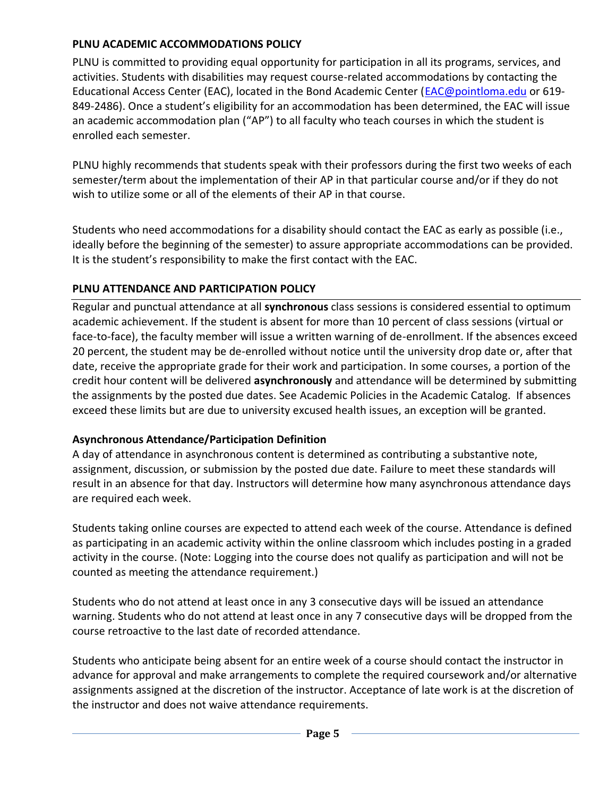## **PLNU ACADEMIC ACCOMMODATIONS POLICY**

PLNU is committed to providing equal opportunity for participation in all its programs, services, and activities. Students with disabilities may request course-related accommodations by contacting the Educational Access Center (EAC), located in the Bond Academic Center [\(EAC@pointloma.edu](mailto:EAC@pointloma.edu) or 619- 849-2486). Once a student's eligibility for an accommodation has been determined, the EAC will issue an academic accommodation plan ("AP") to all faculty who teach courses in which the student is enrolled each semester.

PLNU highly recommends that students speak with their professors during the first two weeks of each semester/term about the implementation of their AP in that particular course and/or if they do not wish to utilize some or all of the elements of their AP in that course.

Students who need accommodations for a disability should contact the EAC as early as possible (i.e., ideally before the beginning of the semester) to assure appropriate accommodations can be provided. It is the student's responsibility to make the first contact with the EAC.

## **PLNU ATTENDANCE AND PARTICIPATION POLICY**

Regular and punctual attendance at all **synchronous** class sessions is considered essential to optimum academic achievement. If the student is absent for more than 10 percent of class sessions (virtual or face-to-face), the faculty member will issue a written warning of de-enrollment. If the absences exceed 20 percent, the student may be de-enrolled without notice until the university drop date or, after that date, receive the appropriate grade for their work and participation. In some courses, a portion of the credit hour content will be delivered **asynchronously** and attendance will be determined by submitting the assignments by the posted due dates. See Academic Policies in the Academic Catalog. If absences exceed these limits but are due to university excused health issues, an exception will be granted.

# **Asynchronous Attendance/Participation Definition**

A day of attendance in asynchronous content is determined as contributing a substantive note, assignment, discussion, or submission by the posted due date. Failure to meet these standards will result in an absence for that day. Instructors will determine how many asynchronous attendance days are required each week.

Students taking online courses are expected to attend each week of the course. Attendance is defined as participating in an academic activity within the online classroom which includes posting in a graded activity in the course. (Note: Logging into the course does not qualify as participation and will not be counted as meeting the attendance requirement.)

Students who do not attend at least once in any 3 consecutive days will be issued an attendance warning. Students who do not attend at least once in any 7 consecutive days will be dropped from the course retroactive to the last date of recorded attendance.

Students who anticipate being absent for an entire week of a course should contact the instructor in advance for approval and make arrangements to complete the required coursework and/or alternative assignments assigned at the discretion of the instructor. Acceptance of late work is at the discretion of the instructor and does not waive attendance requirements.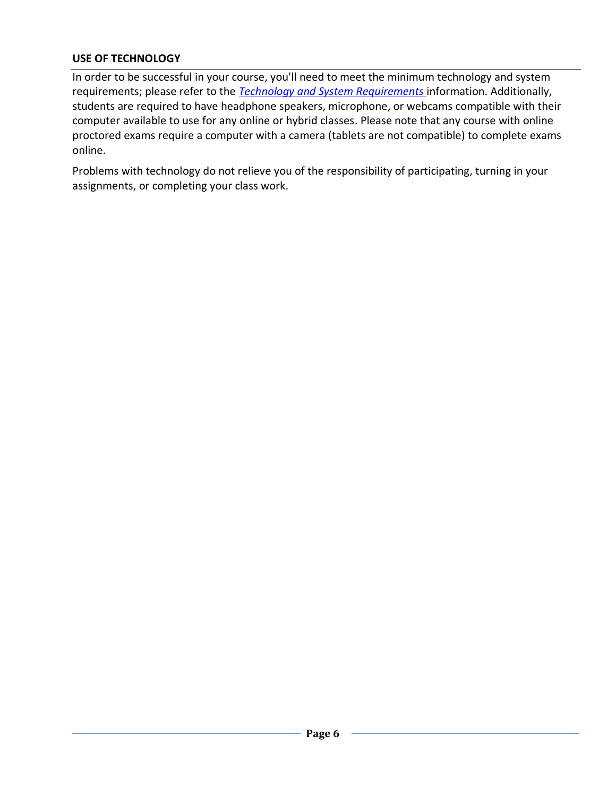# **USE OF TECHNOLOGY**

In order to be successful in your course, you'll need to meet the minimum technology and system requirements; please refer to the *[Technology and System Requirements](https://help.pointloma.edu/TDClient/1808/Portal/KB/ArticleDet?ID=108349)* information. Additionally, students are required to have headphone speakers, microphone, or webcams compatible with their computer available to use for any online or hybrid classes. Please note that any course with online proctored exams require a computer with a camera (tablets are not compatible) to complete exams online.

Problems with technology do not relieve you of the responsibility of participating, turning in your assignments, or completing your class work.